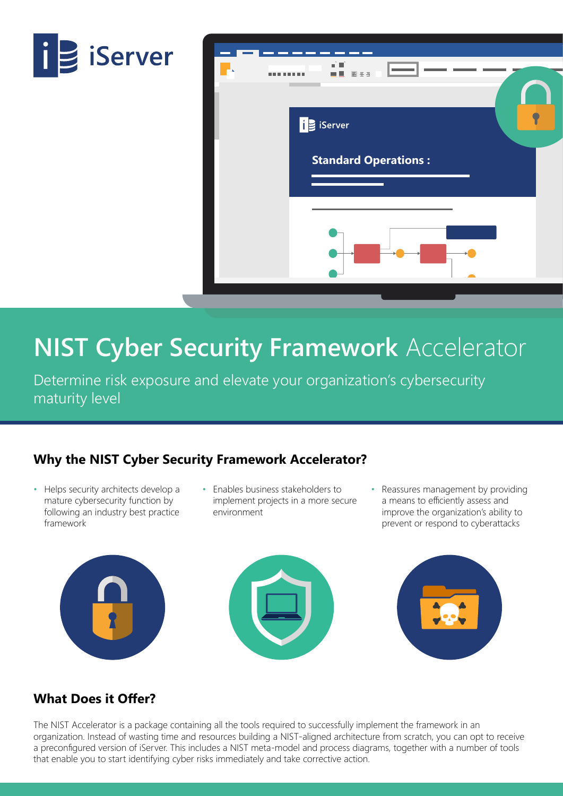



## **NIST Cyber Security Framework** Accelerator

Determine risk exposure and elevate your organization's cybersecurity maturity level

## **Why the NIST Cyber Security Framework Accelerator?**

- Helps security architects develop a mature cybersecurity function by following an industry best practice framework
- Enables business stakeholders to implement projects in a more secure environment
- Reassures management by providing a means to efficiently assess and improve the organization's ability to prevent or respond to cyberattacks







### **What Does it Offer?**

The NIST Accelerator is a package containing all the tools required to successfully implement the framework in an organization. Instead of wasting time and resources building a NIST-aligned architecture from scratch, you can opt to receive a preconfigured version of iServer. This includes a NIST meta-model and process diagrams, together with a number of tools that enable you to start identifying cyber risks immediately and take corrective action.